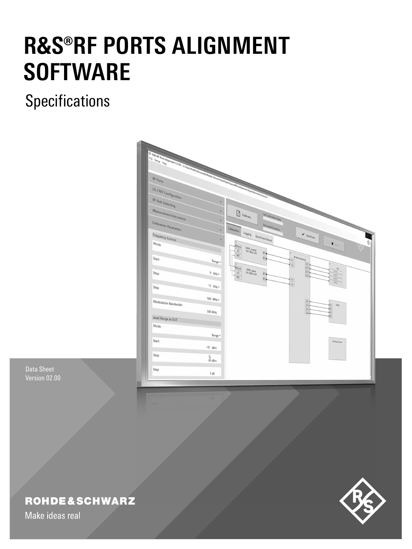# **R&S®RF PORTS ALIGNMENT SOFTWARE**

# **Specifications**



Data Sheet Version 02.00

# **ROHDE&SCHWARZ**

Make ideas real

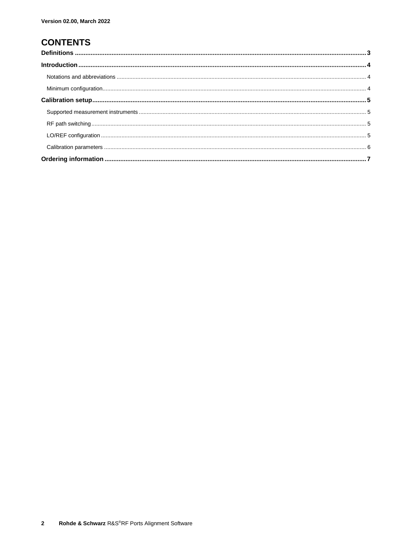## **CONTENTS**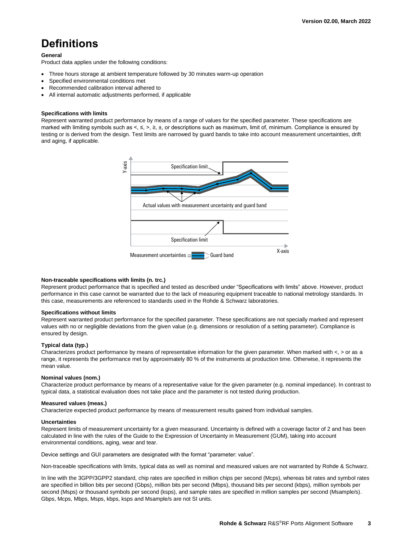# <span id="page-2-0"></span>**Definitions**

### **General**

Product data applies under the following conditions:

- Three hours storage at ambient temperature followed by 30 minutes warm-up operation
- Specified environmental conditions met
- Recommended calibration interval adhered to
- All internal automatic adjustments performed, if applicable

#### **Specifications with limits**

Represent warranted product performance by means of a range of values for the specified parameter. These specifications are marked with limiting symbols such as <, ≤, >, ≥, ±, or descriptions such as maximum, limit of, minimum. Compliance is ensured by testing or is derived from the design. Test limits are narrowed by guard bands to take into account measurement uncertainties, drift and aging, if applicable.



#### **Non-traceable specifications with limits (n. trc.)**

Represent product performance that is specified and tested as described under "Specifications with limits" above. However, product performance in this case cannot be warranted due to the lack of measuring equipment traceable to national metrology standards. In this case, measurements are referenced to standards used in the Rohde & Schwarz laboratories.

#### **Specifications without limits**

Represent warranted product performance for the specified parameter. These specifications are not specially marked and represent values with no or negligible deviations from the given value (e.g. dimensions or resolution of a setting parameter). Compliance is ensured by design.

### **Typical data (typ.)**

Characterizes product performance by means of representative information for the given parameter. When marked with  $\lt$ ,  $>$  or as a range, it represents the performance met by approximately 80 % of the instruments at production time. Otherwise, it represents the mean value.

#### **Nominal values (nom.)**

Characterize product performance by means of a representative value for the given parameter (e.g. nominal impedance). In contrast to typical data, a statistical evaluation does not take place and the parameter is not tested during production.

#### **Measured values (meas.)**

Characterize expected product performance by means of measurement results gained from individual samples.

#### **Uncertainties**

Represent limits of measurement uncertainty for a given measurand. Uncertainty is defined with a coverage factor of 2 and has been calculated in line with the rules of the Guide to the Expression of Uncertainty in Measurement (GUM), taking into account environmental conditions, aging, wear and tear.

Device settings and GUI parameters are designated with the format "parameter: value".

Non-traceable specifications with limits, typical data as well as nominal and measured values are not warranted by Rohde & Schwarz.

In line with the 3GPP/3GPP2 standard, chip rates are specified in million chips per second (Mcps), whereas bit rates and symbol rates are specified in billion bits per second (Gbps), million bits per second (Mbps), thousand bits per second (kbps), million symbols per second (Msps) or thousand symbols per second (ksps), and sample rates are specified in million samples per second (Msample/s). Gbps, Mcps, Mbps, Msps, kbps, ksps and Msample/s are not SI units.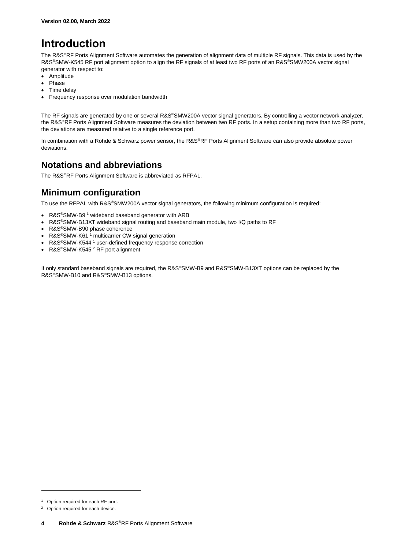# <span id="page-3-0"></span>**Introduction**

The R&S®RF Ports Alignment Software automates the generation of alignment data of multiple RF signals. This data is used by the R&S®SMW-K545 RF port alignment option to align the RF signals of at least two RF ports of an R&S®SMW200A vector signal generator with respect to:

- Amplitude
- Phase
- Time delay
- Frequency response over modulation bandwidth

The RF signals are generated by one or several R&S®SMW200A vector signal generators. By controlling a vector network analyzer, the R&S®RF Ports Alignment Software measures the deviation between two RF ports. In a setup containing more than two RF ports, the deviations are measured relative to a single reference port.

In combination with a Rohde & Schwarz power sensor, the R&S®RF Ports Alignment Software can also provide absolute power deviations.

## <span id="page-3-1"></span>**Notations and abbreviations**

The R&S®RF Ports Alignment Software is abbreviated as RFPAL.

## <span id="page-3-2"></span>**Minimum configuration**

To use the RFPAL with R&S®SMW200A vector signal generators, the following minimum configuration is required:

- <span id="page-3-3"></span>• R&S®SMW-B9<sup>1</sup> wideband baseband generator with ARB
- R&S®SMW-B13XT wideband signal routing and baseband main module, two I/Q paths to RF
- R&S®SMW-B90 phase coherence
- R&S<sup>®</sup>SMW-K61<sup>1</sup> multicarrier CW signal generation
- R&S®SMW-K544<sup>1</sup> user-defined frequency response correction
- R&S®SMW-K545<sup>2</sup> RF port alignment

If only standard baseband signals are required, the R&S®SMW-B9 and R&S®SMW-B13XT options can be replaced by the R&S®SMW-B10 and R&S®SMW-B13 options.

l

<sup>&</sup>lt;sup>1</sup> Option required for each RF port.

Option required for each device.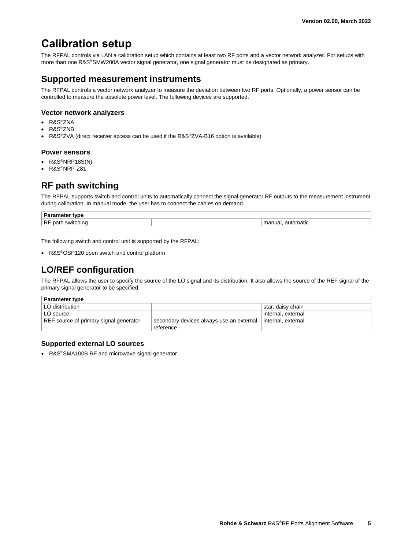## <span id="page-4-0"></span>**Calibration setup**

The RFPAL controls via LAN a calibration setup which contains at least two RF ports and a vector network analyzer. For setups with more than one R&S®SMW200A vector signal generator, one signal generator must be designated as primary.

## <span id="page-4-1"></span>**Supported measurement instruments**

The RFPAL controls a vector network analyzer to measure the deviation between two RF ports. Optionally, a power sensor can be controlled to measure the absolute power level. The following devices are supported.

## **Vector network analyzers**

- R&S®ZNA
- R&S®ZNB
- R&S®ZVA (direct receiver access can be used if the R&S®ZVA-B16 option is available)

## **Power sensors**

- R&S®NRP18S(N)
- <span id="page-4-2"></span>• R&S®NRP-Z81

## **RF path switching**

The RFPAL supports switch and control units to automatically connect the signal generator RF outputs to the measurement instrument during calibration. In manual mode, the user has to connect the cables on demand.

| Par<br>tvpe<br>чт.                            |           |
|-----------------------------------------------|-----------|
| <b>RF</b><br>`≏hino ∶<br>natı<br><b>SWITC</b> | automatic |

The following switch and control unit is supported by the RFPAL:

<span id="page-4-3"></span>• R&S®OSP120 open switch and control platform

## **LO/REF configuration**

The RFPAL allows the user to specify the source of the LO signal and its distribution. It also allows the source of the REF signal of the primary signal generator to be specified.

| <b>Parameter type</b>                  |                                          |                    |
|----------------------------------------|------------------------------------------|--------------------|
| LO distribution                        |                                          | star, daisy chain  |
| LO source                              |                                          | internal. external |
| REF source of primary signal generator | secondary devices always use an external | internal. external |
|                                        | reference                                |                    |

## **Supported external LO sources**

• R&S®SMA100B RF and microwave signal generator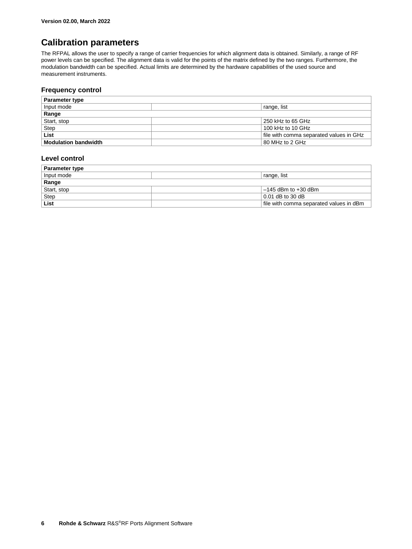## <span id="page-5-0"></span>**Calibration parameters**

The RFPAL allows the user to specify a range of carrier frequencies for which alignment data is obtained. Similarly, a range of RF power levels can be specified. The alignment data is valid for the points of the matrix defined by the two ranges. Furthermore, the modulation bandwidth can be specified. Actual limits are determined by the hardware capabilities of the used source and measurement instruments.

## **Frequency control**

| <b>Parameter type</b>       |                                         |  |
|-----------------------------|-----------------------------------------|--|
| Input mode                  | range, list                             |  |
| Range                       |                                         |  |
| Start, stop                 | 250 kHz to 65 GHz                       |  |
| Step                        | 100 kHz to 10 GHz                       |  |
| List                        | file with comma separated values in GHz |  |
| <b>Modulation bandwidth</b> | 80 MHz to 2 GHz                         |  |

## **Level control**

| <b>Parameter type</b> |                                         |  |
|-----------------------|-----------------------------------------|--|
| Input mode            | <sup>'</sup> range, list                |  |
| Range                 |                                         |  |
| Start, stop           | $-145$ dBm to $+30$ dBm                 |  |
| <b>Step</b>           | $0.01$ dB to 30 dB                      |  |
| List                  | file with comma separated values in dBm |  |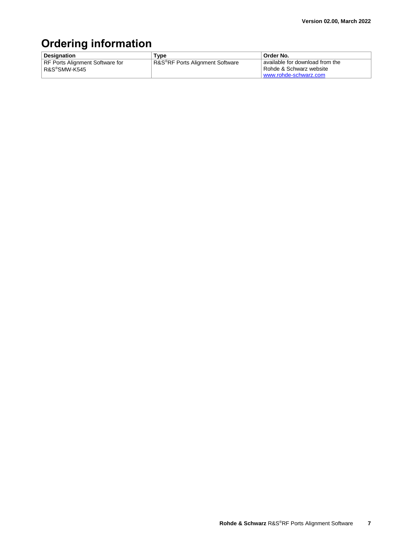# <span id="page-6-0"></span>**Ordering information**

| <b>Designation</b>                              | Type                                         | Order No.                                                  |
|-------------------------------------------------|----------------------------------------------|------------------------------------------------------------|
| RF Ports Alignment Software for<br>R&S®SMW-K545 | R&S <sup>®</sup> RF Ports Alignment Software | available for download from the<br>Rohde & Schwarz website |
|                                                 |                                              | www.rohde-schwarz.com                                      |